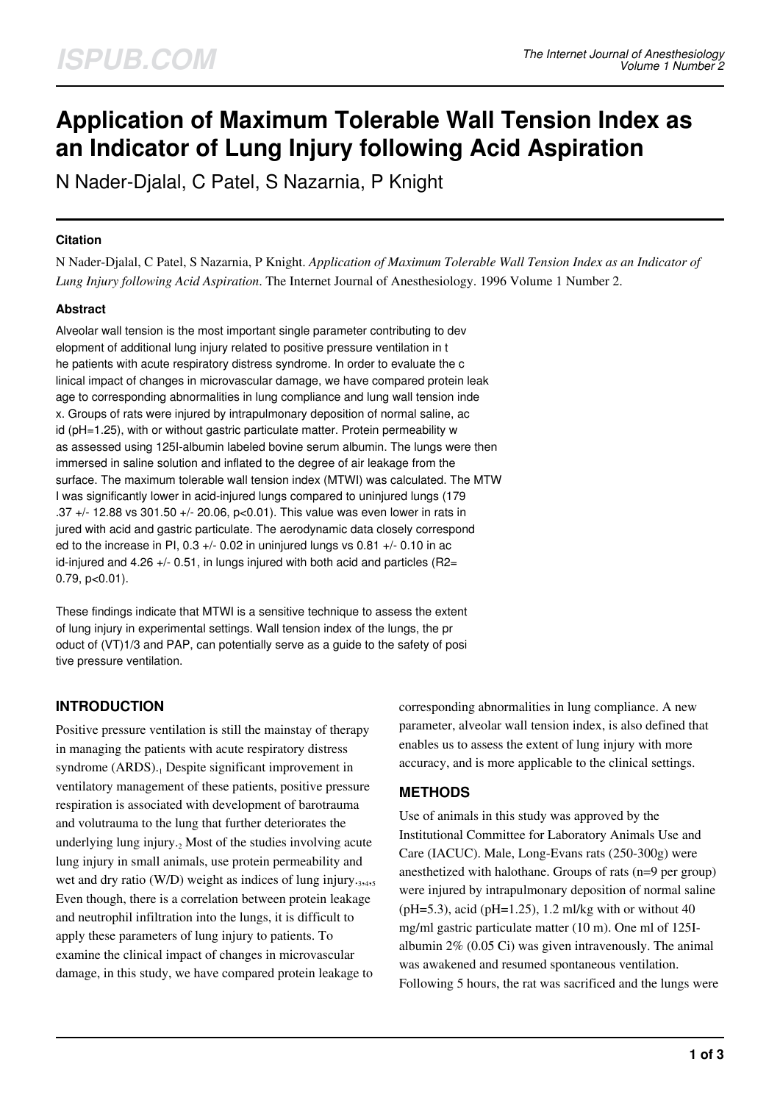# **Application of Maximum Tolerable Wall Tension Index as an Indicator of Lung Injury following Acid Aspiration**

N Nader-Djalal, C Patel, S Nazarnia, P Knight

## **Citation**

N Nader-Djalal, C Patel, S Nazarnia, P Knight. *Application of Maximum Tolerable Wall Tension Index as an Indicator of Lung Injury following Acid Aspiration*. The Internet Journal of Anesthesiology. 1996 Volume 1 Number 2.

## **Abstract**

Alveolar wall tension is the most important single parameter contributing to dev elopment of additional lung injury related to positive pressure ventilation in t he patients with acute respiratory distress syndrome. In order to evaluate the c linical impact of changes in microvascular damage, we have compared protein leak age to corresponding abnormalities in lung compliance and lung wall tension inde x. Groups of rats were injured by intrapulmonary deposition of normal saline, ac id (pH=1.25), with or without gastric particulate matter. Protein permeability w as assessed using 125I-albumin labeled bovine serum albumin. The lungs were then immersed in saline solution and inflated to the degree of air leakage from the surface. The maximum tolerable wall tension index (MTWI) was calculated. The MTW I was significantly lower in acid-injured lungs compared to uninjured lungs (179 .37 +/- 12.88 vs 301.50 +/- 20.06, p<0.01). This value was even lower in rats in jured with acid and gastric particulate. The aerodynamic data closely correspond ed to the increase in PI, 0.3  $+/-$  0.02 in uninjured lungs vs 0.81  $+/-$  0.10 in ac id-injured and 4.26 +/- 0.51, in lungs injured with both acid and particles (R2= 0.79, p<0.01).

These findings indicate that MTWI is a sensitive technique to assess the extent of lung injury in experimental settings. Wall tension index of the lungs, the pr oduct of (VT)1/3 and PAP, can potentially serve as a guide to the safety of posi tive pressure ventilation.

# **INTRODUCTION**

Positive pressure ventilation is still the mainstay of therapy in managing the patients with acute respiratory distress syndrome (ARDS).<sub>1</sub> Despite significant improvement in ventilatory management of these patients, positive pressure respiration is associated with development of barotrauma and volutrauma to the lung that further deteriorates the underlying lung injury.<sub>2</sub> Most of the studies involving acute lung injury in small animals, use protein permeability and wet and dry ratio (W/D) weight as indices of lung injury.<sub>3,4,5</sub> Even though, there is a correlation between protein leakage and neutrophil infiltration into the lungs, it is difficult to apply these parameters of lung injury to patients. To examine the clinical impact of changes in microvascular damage, in this study, we have compared protein leakage to

corresponding abnormalities in lung compliance. A new parameter, alveolar wall tension index, is also defined that enables us to assess the extent of lung injury with more accuracy, and is more applicable to the clinical settings.

## **METHODS**

Use of animals in this study was approved by the Institutional Committee for Laboratory Animals Use and Care (IACUC). Male, Long-Evans rats (250-300g) were anesthetized with halothane. Groups of rats (n=9 per group) were injured by intrapulmonary deposition of normal saline (pH=5.3), acid (pH=1.25), 1.2 ml/kg with or without 40 mg/ml gastric particulate matter (10 m). One ml of 125Ialbumin 2% (0.05 Ci) was given intravenously. The animal was awakened and resumed spontaneous ventilation. Following 5 hours, the rat was sacrificed and the lungs were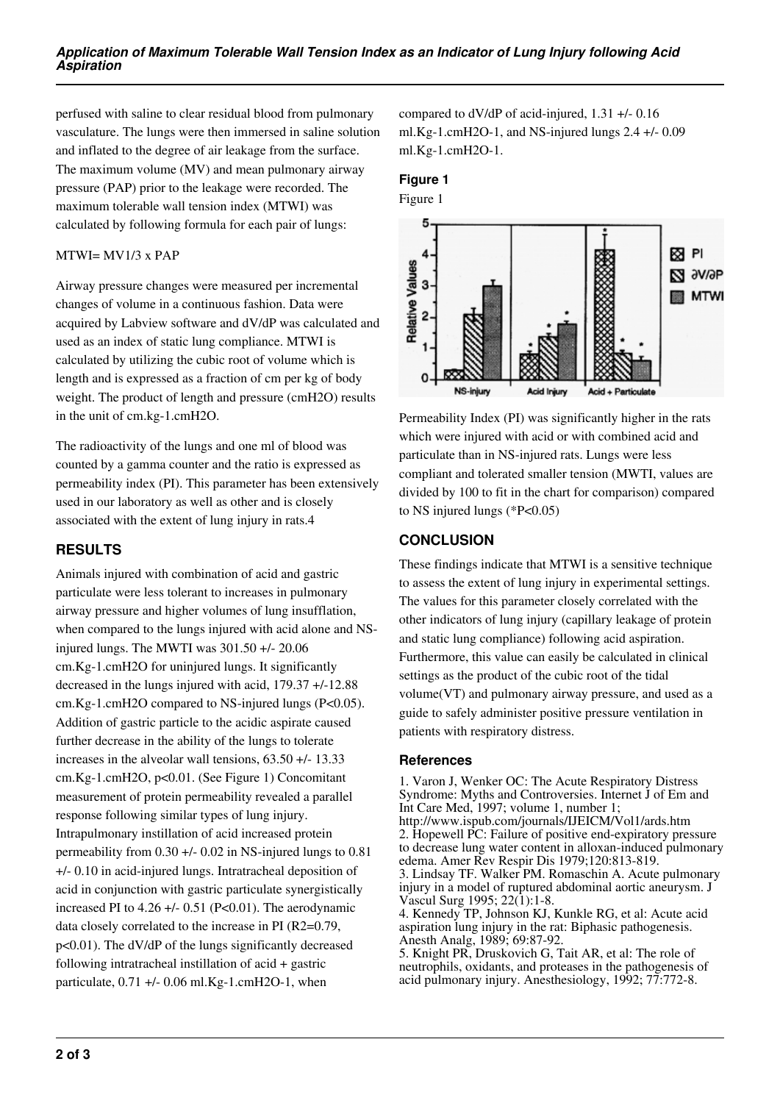perfused with saline to clear residual blood from pulmonary vasculature. The lungs were then immersed in saline solution and inflated to the degree of air leakage from the surface. The maximum volume (MV) and mean pulmonary airway pressure (PAP) prior to the leakage were recorded. The maximum tolerable wall tension index (MTWI) was calculated by following formula for each pair of lungs:

#### MTWI= MV1/3 x PAP

Airway pressure changes were measured per incremental changes of volume in a continuous fashion. Data were acquired by Labview software and dV/dP was calculated and used as an index of static lung compliance. MTWI is calculated by utilizing the cubic root of volume which is length and is expressed as a fraction of cm per kg of body weight. The product of length and pressure (cmH2O) results in the unit of cm.kg-1.cmH2O.

The radioactivity of the lungs and one ml of blood was counted by a gamma counter and the ratio is expressed as permeability index (PI). This parameter has been extensively used in our laboratory as well as other and is closely associated with the extent of lung injury in rats.4

## **RESULTS**

Animals injured with combination of acid and gastric particulate were less tolerant to increases in pulmonary airway pressure and higher volumes of lung insufflation, when compared to the lungs injured with acid alone and NSinjured lungs. The MWTI was 301.50 +/- 20.06 cm.Kg-1.cmH2O for uninjured lungs. It significantly decreased in the lungs injured with acid, 179.37 +/-12.88 cm.Kg-1.cmH2O compared to NS-injured lungs (P<0.05). Addition of gastric particle to the acidic aspirate caused further decrease in the ability of the lungs to tolerate increases in the alveolar wall tensions, 63.50 +/- 13.33 cm.Kg-1.cmH2O, p<0.01. (See Figure 1) Concomitant measurement of protein permeability revealed a parallel response following similar types of lung injury. Intrapulmonary instillation of acid increased protein permeability from 0.30 +/- 0.02 in NS-injured lungs to 0.81 +/- 0.10 in acid-injured lungs. Intratracheal deposition of acid in conjunction with gastric particulate synergistically increased PI to  $4.26 +/- 0.51$  (P<0.01). The aerodynamic data closely correlated to the increase in PI (R2=0.79, p<0.01). The dV/dP of the lungs significantly decreased following intratracheal instillation of acid + gastric particulate,  $0.71 +$ - 0.06 ml.Kg-1.cmH2O-1, when

compared to dV/dP of acid-injured, 1.31 +/- 0.16 ml.Kg-1.cmH2O-1, and NS-injured lungs 2.4 +/- 0.09 ml.Kg-1.cmH2O-1.

#### **Figure 1**



Permeability Index (PI) was significantly higher in the rats which were injured with acid or with combined acid and particulate than in NS-injured rats. Lungs were less compliant and tolerated smaller tension (MWTI, values are divided by 100 to fit in the chart for comparison) compared to NS injured lungs (\*P<0.05)

## **CONCLUSION**

These findings indicate that MTWI is a sensitive technique to assess the extent of lung injury in experimental settings. The values for this parameter closely correlated with the other indicators of lung injury (capillary leakage of protein and static lung compliance) following acid aspiration. Furthermore, this value can easily be calculated in clinical settings as the product of the cubic root of the tidal volume(VT) and pulmonary airway pressure, and used as a guide to safely administer positive pressure ventilation in patients with respiratory distress.

## **References**

1. Varon J, Wenker OC: The Acute Respiratory Distress Syndrome: Myths and Controversies. Internet J of Em and Int Care Med, 1997; volume 1, number 1; http://www.ispub.com/journals/IJEICM/Vol1/ards.htm 2. Hopewell PC: Failure of positive end-expiratory pressure to decrease lung water content in alloxan-induced pulmonary edema. Amer Rev Respir Dis 1979;120:813-819. 3. Lindsay TF. Walker PM. Romaschin A. Acute pulmonary injury in a model of ruptured abdominal aortic aneurysm. J Vascul Surg 1995; 22(1):1-8. 4. Kennedy TP, Johnson KJ, Kunkle RG, et al: Acute acid aspiration lung injury in the rat: Biphasic pathogenesis. Anesth Analg, 1989; 69:87-92.

5. Knight PR, Druskovich G, Tait AR, et al: The role of neutrophils, oxidants, and proteases in the pathogenesis of acid pulmonary injury. Anesthesiology, 1992; 77:772-8.